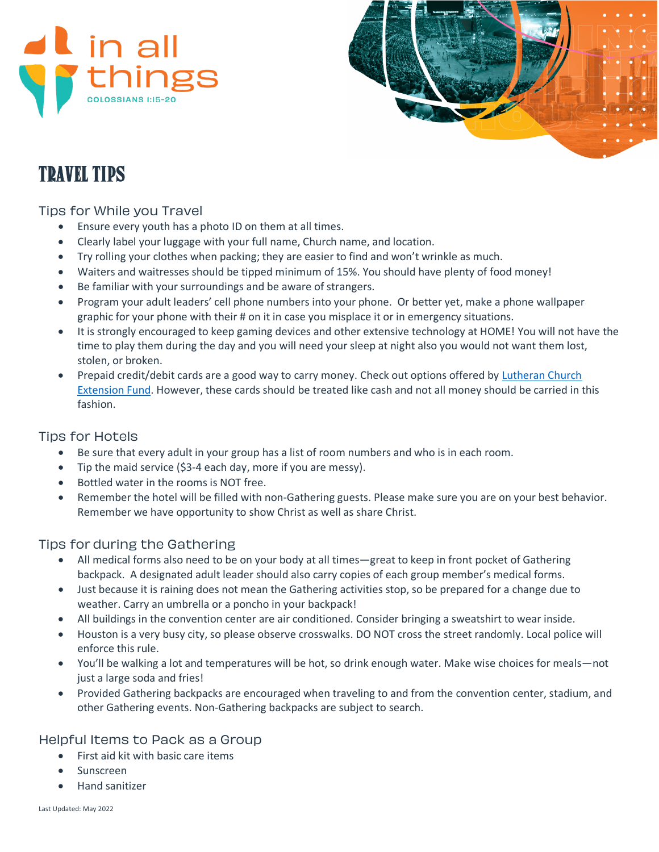



# Travel Tips

### Tips for While you Travel

- Ensure every youth has a photo ID on them at all times.
- Clearly label your luggage with your full name, Church name, and location.
- Try rolling your clothes when packing; they are easier to find and won't wrinkle as much.
- Waiters and waitresses should be tipped minimum of 15%. You should have plenty of food money!
- Be familiar with your surroundings and be aware of strangers.
- Program your adult leaders' cell phone numbers into your phone. Or better yet, make a phone wallpaper graphic for your phone with their # on it in case you misplace it or in emergency situations.
- It is strongly encouraged to keep gaming devices and other extensive technology at HOME! You will not have the time to play them during the day and you will need your sleep at night also you would not want them lost, stolen, or broken.
- Prepaid credit/debit cards are a good way to carry money. Check out options offered by [Lutheran Church](https://lcef.org/yg22/)  [Extension Fund.](https://lcef.org/yg22/) However, these cards should be treated like cash and not all money should be carried in this fashion.

## Tips for Hotels

- Be sure that every adult in your group has a list of room numbers and who is in each room.
- Tip the maid service (\$3-4 each day, more if you are messy).
- Bottled water in the rooms is NOT free.
- Remember the hotel will be filled with non-Gathering guests. Please make sure you are on your best behavior. Remember we have opportunity to show Christ as well as share Christ.

## Tips for during the Gathering

- All medical forms also need to be on your body at all times—great to keep in front pocket of Gathering backpack. A designated adult leader should also carry copies of each group member's medical forms.
- Just because it is raining does not mean the Gathering activities stop, so be prepared for a change due to weather. Carry an umbrella or a poncho in your backpack!
- All buildings in the convention center are air conditioned. Consider bringing a sweatshirt to wear inside.
- Houston is a very busy city, so please observe crosswalks. DO NOT cross the street randomly. Local police will enforce this rule.
- You'll be walking a lot and temperatures will be hot, so drink enough water. Make wise choices for meals—not just a large soda and fries!
- Provided Gathering backpacks are encouraged when traveling to and from the convention center, stadium, and other Gathering events. Non-Gathering backpacks are subject to search.

## Helpful Items to Pack as a Group

- First aid kit with basic care items
- Sunscreen
- Hand sanitizer